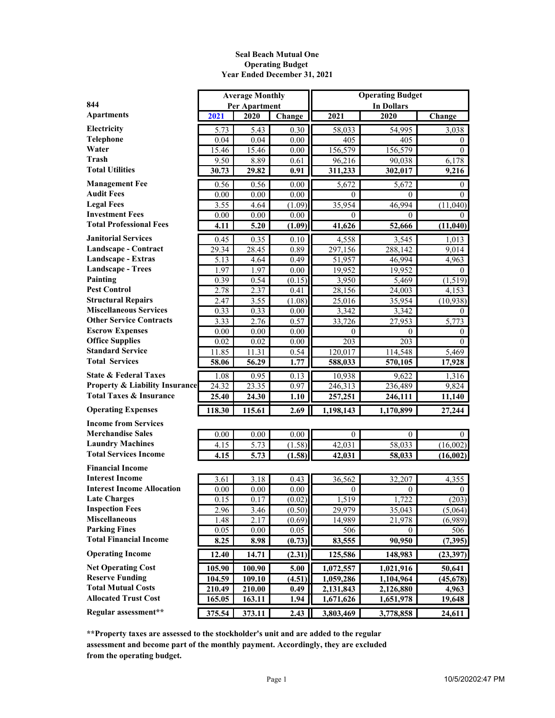#### **Seal Beach Mutual One Operating Budget Year Ended December 31, 2021**

|                                           |        | <b>Average Monthly</b> |                   | <b>Operating Budget</b> |                   |                |  |  |  |  |
|-------------------------------------------|--------|------------------------|-------------------|-------------------------|-------------------|----------------|--|--|--|--|
| 844                                       |        | <b>Per Apartment</b>   |                   |                         | <b>In Dollars</b> |                |  |  |  |  |
| <b>Apartments</b>                         | 2021   | 2020                   | Change            | 2021                    | 2020              | Change         |  |  |  |  |
| Electricity                               | 5.73   | 5.43                   | 0.30              | 58,033                  | 54,995            | 3,038          |  |  |  |  |
| Telephone                                 | 0.04   | 0.04                   | 0.00              | 405                     | 405               | $\theta$       |  |  |  |  |
| Water                                     | 15.46  | 15.46                  | 0.00              | 156,579                 | 156,579           | $\theta$       |  |  |  |  |
| Trash                                     | 9.50   | 8.89                   | 0.61              | 96,216                  | 90,038            | 6,178          |  |  |  |  |
| <b>Total Utilities</b>                    | 30.73  | 29.82                  | 0.91              | 311,233                 | 302,017           | 9,216          |  |  |  |  |
| <b>Management Fee</b>                     | 0.56   | 0.56                   | 0.00              | 5,672                   | 5,672             | $\theta$       |  |  |  |  |
| <b>Audit Fees</b>                         | 0.00   | 0.00                   | 0.00              | 0                       | $\theta$          | $\theta$       |  |  |  |  |
| <b>Legal Fees</b>                         | 3.55   | 4.64                   | (1.09)            | 35,954                  | 46,994            | (11,040)       |  |  |  |  |
| <b>Investment Fees</b>                    | 0.00   | 0.00                   | 0.00              | 0                       | $^{(1)}$          | $^{(1)}$       |  |  |  |  |
| <b>Total Professional Fees</b>            | 4.11   | 5.20                   | (1.09)            | 41,626                  | 52,666            | (11, 040)      |  |  |  |  |
| <b>Janitorial Services</b>                | 0.45   | 0.35                   | 0.10              | 4,558                   | 3,545             | 1,013          |  |  |  |  |
| Landscape - Contract                      | 29.34  | 28.45                  | 0.89              | 297,156                 | 288,142           | 9,014          |  |  |  |  |
| Landscape - Extras                        | 5.13   | 4.64                   | 0.49              | 51,957                  | 46,994            | 4,963          |  |  |  |  |
| <b>Landscape - Trees</b>                  | 1.97   | 1.97                   | 0.00              | 19,952                  | 19,952            | $\left($       |  |  |  |  |
| Painting                                  | 0.39   | 0.54                   | (0.15)            | 3,950                   | 5,469             | (1, 519)       |  |  |  |  |
| <b>Pest Control</b>                       | 2.78   | 2.37                   | 0.41              | 28,156                  | 24,003            | 4,153          |  |  |  |  |
| <b>Structural Repairs</b>                 | 2.47   | 3.55                   | (1.08)            | 25,016                  | 35,954            | (10, 938)      |  |  |  |  |
| <b>Miscellaneous Services</b>             | 0.33   | 0.33                   | 0.00              | 3,342                   | 3,342             | $\Omega$       |  |  |  |  |
| <b>Other Service Contracts</b>            | 3.33   | 2.76                   | 0.57              | 33,726                  | 27,953            | 5,773          |  |  |  |  |
| <b>Escrow Expenses</b>                    | 0.00   | 0.00                   | 0.00              | $\theta$                | $\theta$          | $\theta$       |  |  |  |  |
| <b>Office Supplies</b>                    | 0.02   | 0.02                   | 0.00              | 203                     | 203               | $\theta$       |  |  |  |  |
| <b>Standard Service</b>                   | 11.85  | 11.31                  | 0.54              | 120,017                 | 114,548           | 5,469          |  |  |  |  |
| <b>Total Services</b>                     | 58.06  | 56.29                  | 1.77              | 588,033                 | 570,105           | 17,928         |  |  |  |  |
| <b>State &amp; Federal Taxes</b>          | 1.08   | 0.95                   | 0.13              | 10,938                  | 9,622             | 1,316          |  |  |  |  |
| <b>Property &amp; Liability Insurance</b> | 24.32  | 23.35                  | 0.97              | 246,313                 | 236,489           | 9,824          |  |  |  |  |
| <b>Total Taxes &amp; Insurance</b>        | 25.40  | 24.30                  | 1.10              | 257,251                 | 246,111           | 11,140         |  |  |  |  |
| <b>Operating Expenses</b>                 | 118.30 | 115.61                 | 2.69              | 1,198,143               | 1,170,899         | 27,244         |  |  |  |  |
| <b>Income from Services</b>               |        |                        |                   |                         |                   |                |  |  |  |  |
| <b>Merchandise Sales</b>                  | 0.00   | 0.00                   | 0.00              | $\theta$                | 0                 | $\theta$       |  |  |  |  |
| <b>Laundry Machines</b>                   | 4.15   | 5.73                   | (1.58)            | 42,031                  | 58,033            | (16,002)       |  |  |  |  |
| <b>Total Services Income</b>              | 4.15   | 5.73                   | (1.58)            | 42,031                  | 58,033            | (16,002)       |  |  |  |  |
| <b>Financial Income</b>                   |        |                        |                   |                         |                   |                |  |  |  |  |
| <b>Interest Income</b>                    | 3.61   | 3.18                   | 0.43              | 36,562                  | 32,207            | 4,355          |  |  |  |  |
| <b>Interest Income Allocation</b>         | 0.00   | 0.00                   | $\overline{0.00}$ | $\boldsymbol{0}$        | $\boldsymbol{0}$  | $\overline{0}$ |  |  |  |  |
| <b>Late Charges</b>                       | 0.15   | 0.17                   | (0.02)            | 1,519                   | 1,722             | (203)          |  |  |  |  |
| <b>Inspection Fees</b>                    | 2.96   | 3.46                   | (0.50)            | 29,979                  | 35,043            | (5,064)        |  |  |  |  |
| <b>Miscellaneous</b>                      | 1.48   | 2.17                   | (0.69)            | 14,989                  | 21,978            | (6,989)        |  |  |  |  |
| <b>Parking Fines</b>                      | 0.05   | 0.00                   | 0.05              | 506                     | $\theta$          | 506            |  |  |  |  |
| <b>Total Financial Income</b>             | 8.25   | 8.98                   | (0.73)            | 83,555                  | 90,950            | (7, 395)       |  |  |  |  |
| <b>Operating Income</b>                   |        |                        |                   |                         |                   |                |  |  |  |  |
|                                           | 12.40  | 14.71                  | (2.31)            | 125,586                 | 148,983           | (23, 397)      |  |  |  |  |
| <b>Net Operating Cost</b>                 | 105.90 | 100.90                 | 5.00              | 1,072,557               | 1,021,916         | 50,641         |  |  |  |  |
| <b>Reserve Funding</b>                    | 104.59 | 109.10                 | (4.51)            | 1,059,286               | 1,104,964         | (45, 678)      |  |  |  |  |
| <b>Total Mutual Costs</b>                 | 210.49 | 210.00                 | 0.49              | 2,131,843               | 2,126,880         | 4,963          |  |  |  |  |
| <b>Allocated Trust Cost</b>               | 165.05 | 163.11                 | 1.94              | 1,671,626               | 1,651,978         | 19,648         |  |  |  |  |
| Regular assessment**                      | 375.54 | 373.11                 | 2.43              | 3,803,469               | 3,778,858         | 24,611         |  |  |  |  |

**\*\*Property taxes are assessed to the stockholder's unit and are added to the regular assessment and become part of the monthly payment. Accordingly, they are excluded from the operating budget.**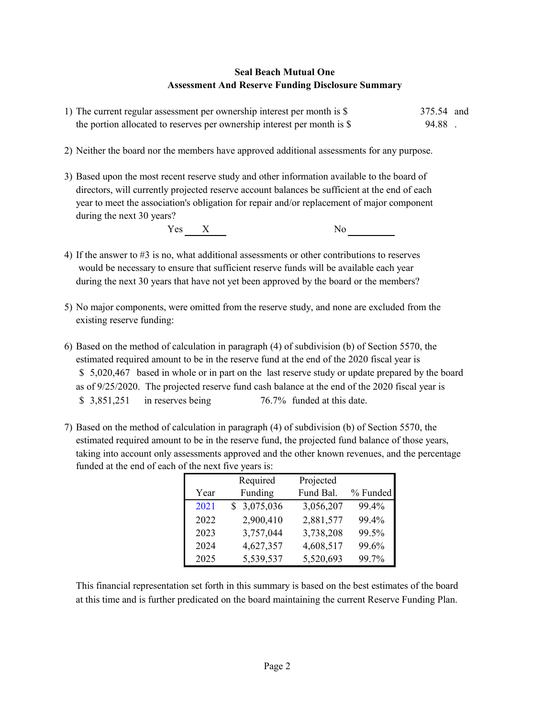## **Seal Beach Mutual One Assessment And Reserve Funding Disclosure Summary**

| 1) The current regular assessment per ownership interest per month is \$ | 375.54 and |  |
|--------------------------------------------------------------------------|------------|--|
| the portion allocated to reserves per ownership interest per month is \$ | 94.88      |  |

- 2) Neither the board nor the members have approved additional assessments for any purpose.
- 3) Based upon the most recent reserve study and other information available to the board of directors, will currently projected reserve account balances be sufficient at the end of each year to meet the association's obligation for repair and/or replacement of major component during the next 30 years?

Yes X No

- 4) If the answer to #3 is no, what additional assessments or other contributions to reserves would be necessary to ensure that sufficient reserve funds will be available each year during the next 30 years that have not yet been approved by the board or the members?
- 5) No major components, were omitted from the reserve study, and none are excluded from the existing reserve funding:
- 6) Based on the method of calculation in paragraph (4) of subdivision (b) of Section 5570, the estimated required amount to be in the reserve fund at the end of the 2020 fiscal year is \$5,020,467 based in whole or in part on the last reserve study or update prepared by the board as of 9/25/2020. The projected reserve fund cash balance at the end of the 2020 fiscal year is \$ 3,851,251 in reserves being 76.7% funded at this date.
- 7) Based on the method of calculation in paragraph (4) of subdivision (b) of Section 5570, the estimated required amount to be in the reserve fund, the projected fund balance of those years, taking into account only assessments approved and the other known revenues, and the percentage funded at the end of each of the next five years is:

|      | Required    | Projected |          |
|------|-------------|-----------|----------|
| Year | Funding     | Fund Bal. | % Funded |
| 2021 | \$3,075,036 | 3,056,207 | 99.4%    |
| 2022 | 2,900,410   | 2,881,577 | 99.4%    |
| 2023 | 3,757,044   | 3,738,208 | 99.5%    |
| 2024 | 4,627,357   | 4,608,517 | 99.6%    |
| 2025 | 5,539,537   | 5,520,693 | 99.7%    |

This financial representation set forth in this summary is based on the best estimates of the board at this time and is further predicated on the board maintaining the current Reserve Funding Plan.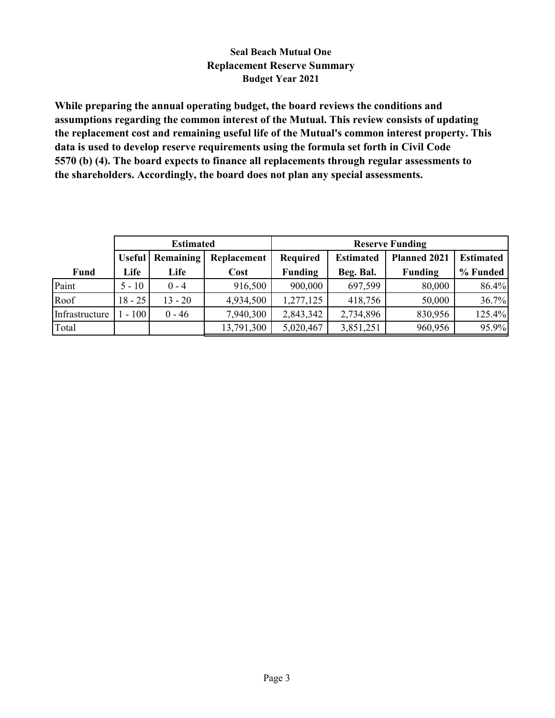# **Seal Beach Mutual One Replacement Reserve Summary Budget Year 2021**

**While preparing the annual operating budget, the board reviews the conditions and assumptions regarding the common interest of the Mutual. This review consists of updating the replacement cost and remaining useful life of the Mutual's common interest property. This data is used to develop reserve requirements using the formula set forth in Civil Code 5570 (b) (4). The board expects to finance all replacements through regular assessments to the shareholders. Accordingly, the board does not plan any special assessments.**

|                |               | <b>Estimated</b> |             |                 |                  | <b>Reserve Funding</b> |                  |
|----------------|---------------|------------------|-------------|-----------------|------------------|------------------------|------------------|
|                | <b>Useful</b> | Remaining        | Replacement | <b>Required</b> | <b>Estimated</b> | <b>Planned 2021</b>    | <b>Estimated</b> |
| Fund           | Life          | Life             | Cost        | <b>Funding</b>  | Beg. Bal.        | <b>Funding</b>         | % Funded         |
| Paint          | $5 - 10$      | $0 - 4$          | 916,500     | 900,000         | 697,599          | 80,000                 | 86.4%            |
| Roof           | $18 - 25$     | $13 - 20$        | 4,934,500   | 1,277,125       | 418,756          | 50,000                 | 36.7%            |
| Infrastructure | $-100$        | $0 - 46$         | 7,940,300   | 2,843,342       | 2,734,896        | 830,956                | 125.4%           |
| Total          |               |                  | 13,791,300  | 5,020,467       | 3,851,251        | 960,956                | 95.9%            |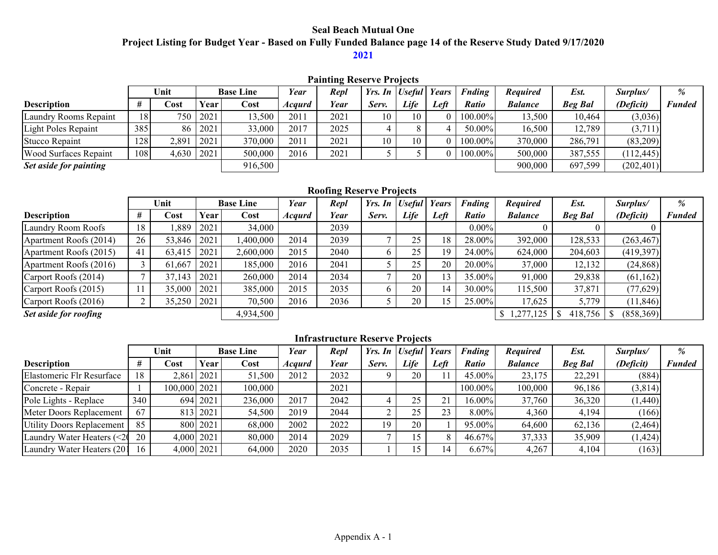# **Seal Beach Mutual One Project Listing for Budget Year - Based on Fully Funded Balance page 14 of the Reserve Study Dated 9/17/2020**

## **2021**

|                              | <b>Painting Reserve Projects</b> |                |            |                  |                      |      |                          |      |      |               |                 |                |            |               |  |
|------------------------------|----------------------------------|----------------|------------|------------------|----------------------|------|--------------------------|------|------|---------------|-----------------|----------------|------------|---------------|--|
|                              |                                  | Unit           |            | <b>Base Line</b> | Year                 | Repl | Yrs. In   Useful   Years |      |      | <b>Fnding</b> | <b>Required</b> | Est.           | Surplus/   | $\%$          |  |
| <b>Description</b>           |                                  | Cost           | Year       | Cost             | <i><b>Acqurd</b></i> | Year | Serv.                    | Life | Left | <b>Ratio</b>  | <b>Balance</b>  | <b>Beg Bal</b> | (Deficit)  | <b>Funded</b> |  |
| Laundry Rooms Repaint        | 18                               |                | 750   2021 | 13,500           | 2011                 | 2021 |                          | 10   |      | $100.00\%$    | 13,500          | 10,464         | (3,036)    |               |  |
| Light Poles Repaint          | 385                              |                | 86 2021    | 33,000           | 2017                 | 2025 |                          |      |      | $50.00\%$     | 16,500          | 12,789         | (3,711)    |               |  |
| Stucco Repaint               | 128                              | 2,891          | 2021       | 370,000          | 2011                 | 2021 | 10                       | 10   |      | 100.00%       | 370,000         | 286,791        | (83,209)   |               |  |
| <b>Wood Surfaces Repaint</b> | 108                              | $4,630$   2021 |            | 500,000          | 2016                 | 2021 |                          |      |      | 100.00%       | 500,000         | 387,555        | (112, 445) |               |  |
| Set aside for painting       |                                  |                |            | 916,500          |                      |      |                          |      |      |               | 900,000         | 697,599        | (202, 401) |               |  |

#### **Roofing Reserve Projects**

|                        |    | Unit   |      | <b>Base Line</b> |                      | Repl |       | Yrs. In Useful | Years | Fnding   | <b>Required</b> | Est.           | Surplus/   | %             |
|------------------------|----|--------|------|------------------|----------------------|------|-------|----------------|-------|----------|-----------------|----------------|------------|---------------|
| <b>Description</b>     |    | Cost   | Year | Cost             | <i><b>Acqurd</b></i> | Year | Serv. | Life           | Left  | Ratio    | <b>Balance</b>  | <b>Beg Bal</b> | (Deficit)  | <b>Funded</b> |
| Laundry Room Roofs     | 18 | ,889   | 2021 | 34,000           |                      | 2039 |       |                |       | $0.00\%$ |                 |                |            |               |
| Apartment Roofs (2014) | 26 | 53,846 | 2021 | 0.400,000        | 2014                 | 2039 |       | 25             | 18    | 28.00%   | 392,000         | 128,533        | (263, 467) |               |
| Apartment Roofs (2015) | 41 | 63.415 | 2021 | 2,600,000        | 2015                 | 2040 |       | 25             | 19    | 24.00%   | 624,000         | 204,603        | (419,397)  |               |
| Apartment Roofs (2016) |    | 61,667 | 2021 | 185,000          | 2016                 | 2041 |       | 25             | 20    | 20.00%   | 37,000          | 12,132         | (24, 868)  |               |
| Carport Roofs (2014)   |    | 37,143 | 2021 | 260,000          | 2014                 | 2034 |       | 20             | 13    | 35.00%   | 91,000          | 29,838         | (61,162)   |               |
| Carport Roofs (2015)   |    | 35,000 | 2021 | 385,000          | 2015                 | 2035 |       | 20             | 14    | 30.00%   | 115,500         | 37,871         | (77, 629)  |               |
| Carport Roofs (2016)   |    | 35,250 | 2021 | 70,500           | 2016                 | 2036 |       | 20             | 15    | 25.00%   | 17,625          | 5,779          | (11, 846)  |               |
| Set aside for roofing  |    |        |      | 4,934,500        |                      |      |       |                |       |          | 1,277,125       | 418,756        | (858,369)  |               |

## **Infrastructure Reserve Projects**

|                            |     | Unit         |            | <b>Base Line</b> | Year                 | Repl        | Yrs. In Useful |          | Years | <b>Fnding</b> | <b>Required</b> | Est.           | Surplus/  | $\%$          |
|----------------------------|-----|--------------|------------|------------------|----------------------|-------------|----------------|----------|-------|---------------|-----------------|----------------|-----------|---------------|
| <b>Description</b>         |     | Cost         | Year       | Cost             | <i><b>Acqurd</b></i> | <b>Year</b> | Serv.          | Life     | Left  | <b>Ratio</b>  | <b>Balance</b>  | <b>Beg Bal</b> | (Deficit) | <b>Funded</b> |
| Elastomeric Flr Resurface  | 18  |              | 2,861 2021 | 51,500           | 2012                 | 2032        |                | 20       |       | $45.00\%$     | 23,175          | 22,291         | (884)     |               |
| Concrete - Repair          |     | 100,000 2021 |            | 100,000          |                      | 2021        |                |          |       | 100.00%       | 100,000         | 96,186         | (3,814)   |               |
| Pole Lights - Replace      | 340 |              | 694 2021   | 236,000          | 2017                 | 2042        |                | 25       |       | 16.00%        | 37,760          | 36,320         | (1,440)   |               |
| Meter Doors Replacement    | 67  |              | 813 2021   | 54,500           | 2019                 | 2044        |                | つぐ<br>ZJ | 23    | 8.00%         | 4,360           | 4,194          | (166)     |               |
| Utility Doors Replacement  | 85  |              | 800 2021   | 68,000           | 2002                 | 2022        | 19             | 20       |       | 95.00%        | 64,600          | 62,136         | (2,464)   |               |
| Laundry Water Heaters (<20 | 20  |              | 4,000 2021 | 80,000           | 2014                 | 2029        |                |          |       | 46.67%        | 37,333          | 35,909         | (1,424)   |               |
| Laundry Water Heaters (201 | -16 |              | 4,000 2021 | 64,000           | 2020                 | 2035        |                |          | 14    | 6.67%         | 4,267           | 4,104          | (163)     |               |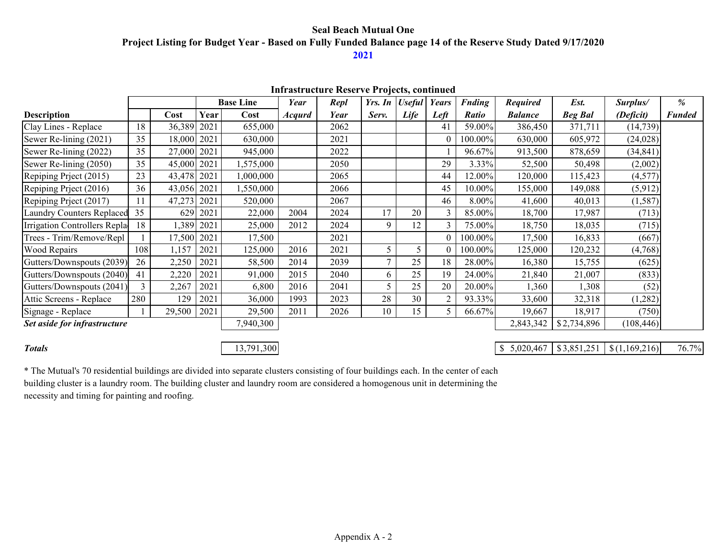### **Seal Beach Mutual One Project Listing for Budget Year - Based on Fully Funded Balance page 14 of the Reserve Study Dated 9/17/2020 2021**

|                                  |     |             |      |                  |               | THIT ASTEQUE RESERVE FROJECTS, CONTINUED |        |                  |              |               |                 |                |               |               |
|----------------------------------|-----|-------------|------|------------------|---------------|------------------------------------------|--------|------------------|--------------|---------------|-----------------|----------------|---------------|---------------|
|                                  |     |             |      | <b>Base Line</b> | Year          | Repl                                     |        | Yrs. In   Useful | <b>Years</b> | <b>Fnding</b> | <b>Required</b> | Est.           | Surplus/      | %             |
| <b>Description</b>               |     | Cost        | Year | Cost             | <b>Acqurd</b> | Year                                     | Serv.  | Life             | Left         | <b>Ratio</b>  | <b>Balance</b>  | <b>Beg Bal</b> | (Deficit)     | <b>Funded</b> |
| Clay Lines - Replace             | 18  | 36,389      | 2021 | 655,000          |               | 2062                                     |        |                  | 41           | 59.00%        | 386,450         | 371,711        | (14, 739)     |               |
| Sewer Re-lining (2021)           | 35  | 18,000 2021 |      | 630,000          |               | 2021                                     |        |                  |              | 100.00%       | 630,000         | 605,972        | (24, 028)     |               |
| Sewer Re-lining (2022)           | 35  | 27,000 2021 |      | 945,000          |               | 2022                                     |        |                  |              | 96.67%        | 913,500         | 878,659        | (34, 841)     |               |
| Sewer Re-lining (2050)           | 35  | 45,000 2021 |      | 1,575,000        |               | 2050                                     |        |                  | 29           | 3.33%         | 52,500          | 50,498         | (2,002)       |               |
| Repiping Priect (2015)           | 23  | 43,478 2021 |      | 1,000,000        |               | 2065                                     |        |                  | 44           | 12.00%        | 120,000         | 115,423        | (4,577)       |               |
| Repiping Prject (2016)           | 36  | 43,056 2021 |      | 1,550,000        |               | 2066                                     |        |                  | 45           | 10.00%        | 155,000         | 149,088        | (5, 912)      |               |
| Repiping Prject (2017)           | 11  | 47,273      | 2021 | 520,000          |               | 2067                                     |        |                  | 46           | 8.00%         | 41,600          | 40,013         | (1, 587)      |               |
| <b>Laundry Counters Replaced</b> | 35  | 629         | 2021 | 22,000           | 2004          | 2024                                     | 17     | 20               |              | 85.00%        | 18,700          | 17,987         | (713)         |               |
| Irrigation Controllers Repla     | 18  | 1,389       | 2021 | 25,000           | 2012          | 2024                                     | 9      | 12               |              | 75.00%        | 18,750          | 18,035         | (715)         |               |
| Trees - Trim/Remove/Repl         |     | 17,500 2021 |      | 17,500           |               | 2021                                     |        |                  |              | 100.00%       | 17,500          | 16,833         | (667)         |               |
| Wood Repairs                     | 108 | 1,157       | 2021 | 125,000          | 2016          | 2021                                     | 5      | 5                |              | 100.00%       | 125,000         | 120,232        | (4,768)       |               |
| Gutters/Downspouts (2039)        | 26  | 2,250       | 2021 | 58,500           | 2014          | 2039                                     | $\tau$ | 25               | 18           | 28.00%        | 16,380          | 15,755         | (625)         |               |
| Gutters/Downspouts (2040)        | 41  | 2,220       | 2021 | 91,000           | 2015          | 2040                                     | 6      | 25               | 19           | 24.00%        | 21,840          | 21,007         | (833)         |               |
| Gutters/Downspouts (2041)        | 3   | 2,267       | 2021 | 6,800            | 2016          | 2041                                     | 5      | 25               | 20           | 20.00%        | 1,360           | 1,308          | (52)          |               |
| Attic Screens - Replace          | 280 | 129         | 2021 | 36,000           | 1993          | 2023                                     | 28     | 30               |              | 93.33%        | 33,600          | 32,318         | (1,282)       |               |
| Signage - Replace                |     | 29,500      | 2021 | 29,500           | 2011          | 2026                                     | 10     | 15               |              | 66.67%        | 19,667          | 18,917         | (750)         |               |
| Set aside for infrastructure     |     |             |      | 7,940,300        |               |                                          |        |                  |              |               | 2,843,342       | \$2,734,896    | (108, 446)    |               |
|                                  |     |             |      |                  |               |                                          |        |                  |              |               |                 |                |               |               |
| <b>Totals</b>                    |     |             |      | 13,791,300       |               |                                          |        |                  |              |               | \$5,020,467     | \$3,851,251    | \$(1,169,216) | 76.7%         |

### **Infrastructure Reserve Projects, continued**

\* The Mutual's 70 residential buildings are divided into separate clusters consisting of four buildings each. In the center of each building cluster is a laundry room. The building cluster and laundry room are considered a homogenous unit in determining the necessity and timing for painting and roofing.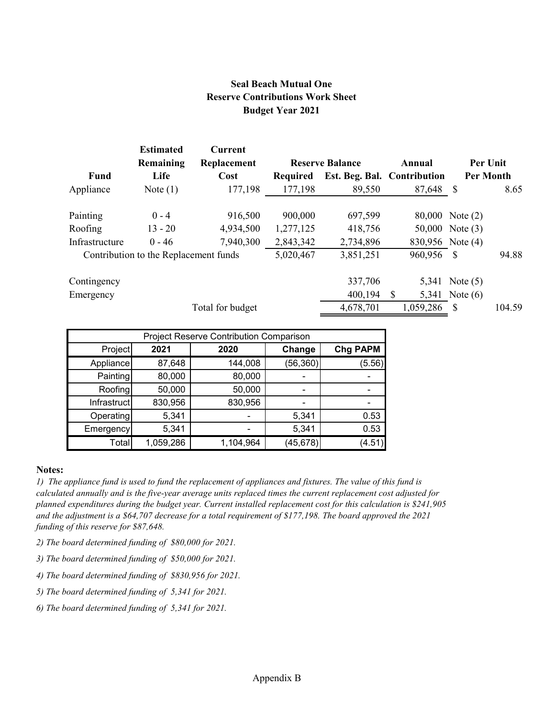## **Seal Beach Mutual One Reserve Contributions Work Sheet Budget Year 2021**

|                | <b>Estimated</b><br>Remaining         | <b>Current</b><br>Replacement |                 | <b>Reserve Balance</b>      |   | Annual    | Per Unit         |        |
|----------------|---------------------------------------|-------------------------------|-----------------|-----------------------------|---|-----------|------------------|--------|
| Fund           | Life                                  | Cost                          | <b>Required</b> | Est. Beg. Bal. Contribution |   |           | <b>Per Month</b> |        |
| Appliance      | Note $(1)$                            | 177,198                       | 177,198         | 89,550                      |   | 87,648    | -S               | 8.65   |
| Painting       | $0 - 4$                               | 916,500                       | 900,000         | 697,599                     |   |           | 80,000 Note (2)  |        |
| Roofing        | $13 - 20$                             | 4,934,500                     | 1,277,125       | 418,756                     |   |           | 50,000 Note (3)  |        |
| Infrastructure | $0 - 46$                              | 7,940,300                     | 2,843,342       | 2,734,896                   |   |           | 830,956 Note (4) |        |
|                | Contribution to the Replacement funds |                               | 5,020,467       | 3,851,251                   |   | 960,956   | <b>S</b>         | 94.88  |
| Contingency    |                                       |                               |                 | 337,706                     |   | 5,341     | Note $(5)$       |        |
| Emergency      |                                       |                               |                 | 400,194                     | S |           | 5,341 Note (6)   |        |
|                |                                       | Total for budget              |                 | 4,678,701                   |   | 1,059,286 | -\$              | 104.59 |

| Project Reserve Contribution Comparison |           |           |           |                 |  |  |  |  |  |  |  |  |
|-----------------------------------------|-----------|-----------|-----------|-----------------|--|--|--|--|--|--|--|--|
| Project                                 | 2021      | 2020      | Change    | <b>Chg PAPM</b> |  |  |  |  |  |  |  |  |
| Appliance                               | 87,648    | 144,008   | (56, 360) | (5.56)          |  |  |  |  |  |  |  |  |
| Painting                                | 80,000    | 80,000    |           |                 |  |  |  |  |  |  |  |  |
| Roofing                                 | 50,000    | 50,000    |           |                 |  |  |  |  |  |  |  |  |
| Infrastruct                             | 830,956   | 830,956   |           |                 |  |  |  |  |  |  |  |  |
| Operating                               | 5,341     |           | 5,341     | 0.53            |  |  |  |  |  |  |  |  |
| Emergency                               | 5,341     |           | 5,341     | 0.53            |  |  |  |  |  |  |  |  |
| Total                                   | 1,059,286 | 1,104,964 | (45, 678) | (4.51)          |  |  |  |  |  |  |  |  |

#### **Notes:**

*1) The appliance fund is used to fund the replacement of appliances and fixtures. The value of this fund is calculated annually and is the five-year average units replaced times the current replacement cost adjusted for planned expenditures during the budget year. Current installed replacement cost for this calculation is \$241,905 and the adjustment is a \$64,707 decrease for a total requirement of \$177,198. The board approved the 2021 funding of this reserve for \$87,648.*

- *2) The board determined funding of \$80,000 for 2021.*
- *3) The board determined funding of \$50,000 for 2021.*
- *4) The board determined funding of \$830,956 for 2021.*
- *5) The board determined funding of 5,341 for 2021.*
- *6) The board determined funding of 5,341 for 2021.*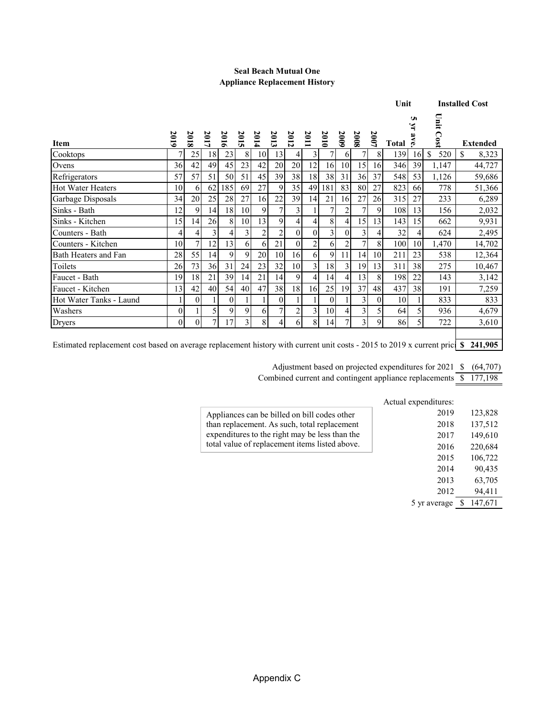#### **Seal Beach Mutual One Appliance Replacement History**

|                                                                                                                                  |          |                  |      |                |      |      |                  |                |                |                |                |                |          | Unit                |        |                      | <b>Installed Cost</b> |
|----------------------------------------------------------------------------------------------------------------------------------|----------|------------------|------|----------------|------|------|------------------|----------------|----------------|----------------|----------------|----------------|----------|---------------------|--------|----------------------|-----------------------|
| <b>Item</b>                                                                                                                      | 2019     | 2018             | 2017 | 2016           | 2015 | 2014 | 2013             | 2012           | 2011           | 2010           | 2009           | 2008           | 2007     | Total $\frac{5}{6}$ | U<br>Ă | Unit Cost            | <b>Extended</b>       |
| Cooktops                                                                                                                         |          | 25               | 18   | 23             | 8    | 10   | 13               | $\overline{4}$ | $\overline{3}$ | 7              | 6              |                | 8        | 139                 | 16     | <sup>\$</sup><br>520 | \$<br>8,323           |
| Ovens                                                                                                                            | 36       | 42               | 49   | 45             | 23   | 42   | 20               | 20             | 12             | 16             | 10             | 15             | 16       | 346                 | 39     | 1,147                | 44,727                |
| Refrigerators                                                                                                                    | 57       | 57               | 51   | 50             | 51   | 45   | 39               | 38             | 18             | 38             | 31             | 36             | 37       | 548                 | 53     | 1,126                | 59,686                |
| <b>Hot Water Heaters</b>                                                                                                         | 10       | 6                | 62   | 185            | 69   | 27   | 9                | 35             | 49             | 181            | 83             | 80             | 27       | 823                 | 66     | 778                  | 51,366                |
| Garbage Disposals                                                                                                                | 34       | 20               | 25   | 28             | 27   | 16   | 22               | 39             | 14             | 21             | 16             | 27             | 26       | 315                 | 27     | 233                  | 6,289                 |
| Sinks - Bath                                                                                                                     | 12       | 9                | 14   | 18             | 10   | 9    | 7                | 3              |                | 7              | 2              |                | 9        | 108                 | 13     | 156                  | 2,032                 |
| Sinks - Kitchen                                                                                                                  | 15       | 14               | 26   | 8              | 10   | 13   | 9                | 4              | $\overline{4}$ | 8              | 4              | 15             | 13       | 143                 | 15     | 662                  | 9,931                 |
| Counters - Bath                                                                                                                  | 4        | 4                | 3    | 4              | 3    | 2    | $\overline{2}$   | $\theta$       | $\Omega$       | 3 <sup>1</sup> | $\Omega$       | 3              | 4        | 32                  |        | 624                  | 2,495                 |
| Counters - Kitchen                                                                                                               | 10       | 7                | 12   | 13             | 6    | 6    | 21               | $\theta$       | $\overline{2}$ | 6              | $\overline{2}$ | 7              | 8        | 100                 | 10     | 1,470                | 14,702                |
| Bath Heaters and Fan                                                                                                             | 28       | 55               | 14   | 9              | 9    | 20   | 10               | 16             | 6              | 9              | 11             | 14             | 10       | 211                 | 23     | 538                  | 12,364                |
| Toilets                                                                                                                          | 26       | 73               | 36   | 31             | 24   | 23   | 32               | 10             | $\overline{3}$ | 18             | 3              | 19             | 13       | 311                 | 38     | 275                  | 10,467                |
| Faucet - Bath                                                                                                                    | 19       | 18               | 21   | 39             | 14   | 21   | 14               | 9              | $\overline{4}$ | 14             | 41             | 13             | 8        | 198                 | 22     | 143                  | 3,142                 |
| Faucet - Kitchen                                                                                                                 | 13       | 42               | 40   | 54             | 40   | 47   | 38               | 18             | 16             | 25             | 19             | 37             | 48       | 437                 | 38     | 191                  | 7,259                 |
| Hot Water Tanks - Laund                                                                                                          |          | $\boldsymbol{0}$ |      | $\overline{0}$ |      |      | $\boldsymbol{0}$ |                |                | $\theta$       |                | 3              | $\theta$ | 10                  |        | 833                  | 833                   |
| Washers                                                                                                                          | $\theta$ |                  | 5    | 9              | 9    | 6    | 7 <sub>1</sub>   | $\overline{2}$ | $\overline{3}$ | 10             | 4              | 3 <sub>l</sub> | 5        | 64                  |        | 936                  | 4,679                 |
| Dryers                                                                                                                           | $\theta$ | $\theta$         | 7    | 17             | 3    | 8    | $\overline{4}$   | 61             | 8              | 14             | 7              | $\overline{3}$ | 9        | 86                  | 5      | 722                  | 3,610                 |
| Estimated replacement cost based on average replacement history with current unit costs - 2015 to 2019 x current prici \$241,905 |          |                  |      |                |      |      |                  |                |                |                |                |                |          |                     |        |                      |                       |

Adjustment based on projected expenditures for 2021 \$ (64,707)

Combined current and contingent appliance replacements \$ 177,198

|                                                | Actual expenditures: |         |
|------------------------------------------------|----------------------|---------|
| Appliances can be billed on bill codes other   | 2019                 | 123,828 |
| than replacement. As such, total replacement   | 2018                 | 137,512 |
| expenditures to the right may be less than the | 2017                 | 149,610 |
| total value of replacement items listed above. | 2016                 | 220,684 |
|                                                | 2015                 | 106,722 |
|                                                | 2014                 | 90,435  |
|                                                | 2013                 | 63,705  |
|                                                | 2012                 | 94,411  |
|                                                | 5 yr average         | 147,671 |